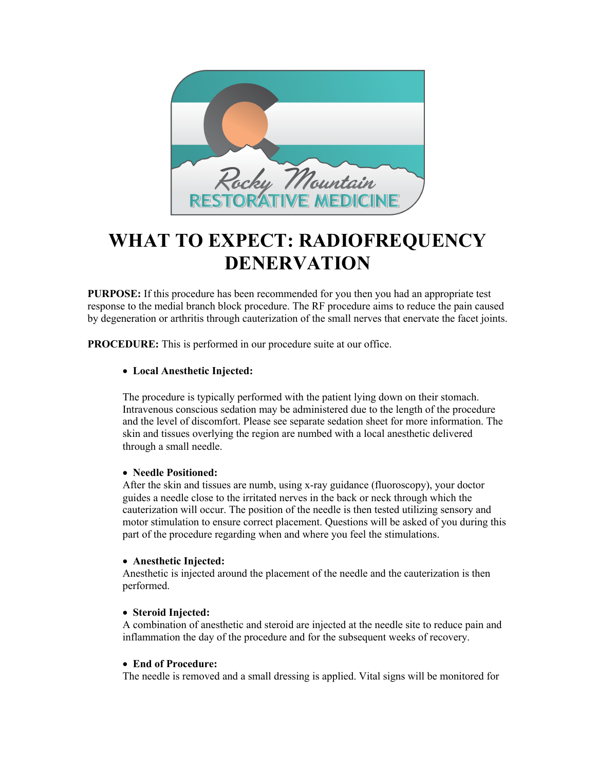

# **WHAT TO EXPECT: RADIOFREQUENCY DENERVATION**

**PURPOSE:** If this procedure has been recommended for you then you had an appropriate test response to the medial branch block procedure. The RF procedure aims to reduce the pain caused by degeneration or arthritis through cauterization of the small nerves that enervate the facet joints.

**PROCEDURE:** This is performed in our procedure suite at our office.

## • **Local Anesthetic Injected:**

The procedure is typically performed with the patient lying down on their stomach. Intravenous conscious sedation may be administered due to the length of the procedure and the level of discomfort. Please see separate sedation sheet for more information. The skin and tissues overlying the region are numbed with a local anesthetic delivered through a small needle.

### • **Needle Positioned:**

After the skin and tissues are numb, using x-ray guidance (fluoroscopy), your doctor guides a needle close to the irritated nerves in the back or neck through which the cauterization will occur. The position of the needle is then tested utilizing sensory and motor stimulation to ensure correct placement. Questions will be asked of you during this part of the procedure regarding when and where you feel the stimulations.

#### • **Anesthetic Injected:**

Anesthetic is injected around the placement of the needle and the cauterization is then performed.

#### • **Steroid Injected:**

A combination of anesthetic and steroid are injected at the needle site to reduce pain and inflammation the day of the procedure and for the subsequent weeks of recovery.

## • **End of Procedure:**

The needle is removed and a small dressing is applied. Vital signs will be monitored for